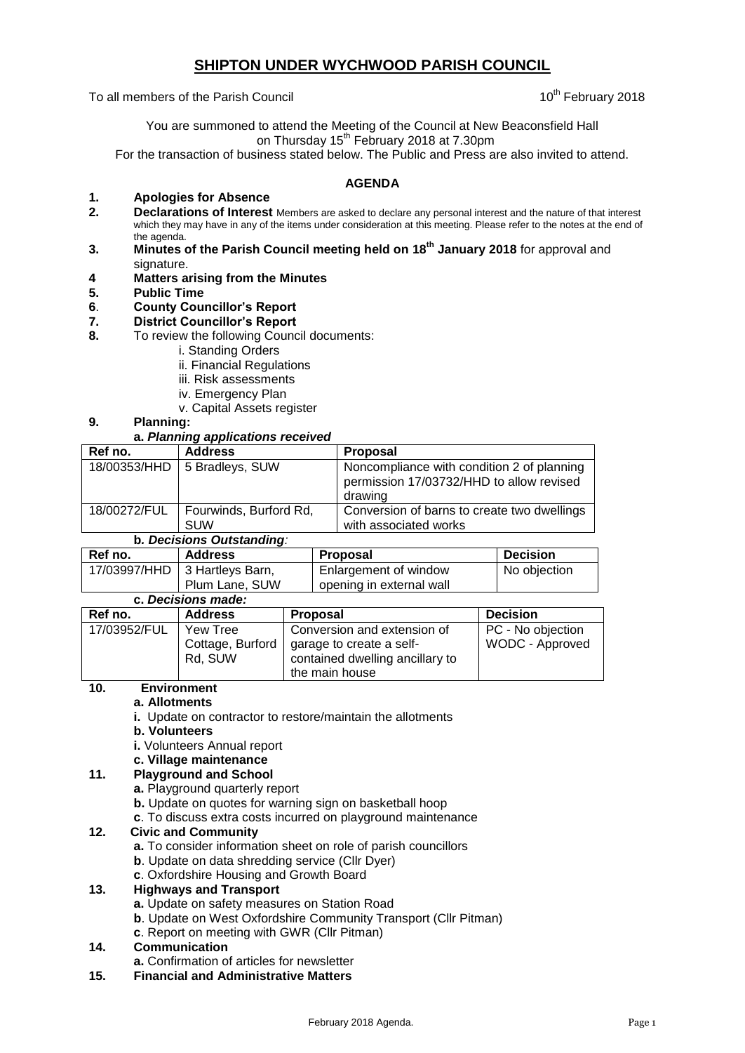# **SHIPTON UNDER WYCHWOOD PARISH COUNCIL**

To all members of the Parish Council 10<sup>th</sup> February 2018

You are summoned to attend the Meeting of the Council at New Beaconsfield Hall on Thursday 15<sup>th</sup> February 2018 at 7.30pm

For the transaction of business stated below. The Public and Press are also invited to attend.

# **AGENDA**

# **1. Apologies for Absence**

- **2. Declarations of Interest** Members are asked to declare any personal interest and the nature of that interest which they may have in any of the items under consideration at this meeting. Please refer to the notes at the end of the agenda.
- **3. Minutes of the Parish Council meeting held on 18th January 2018** for approval and signature.

#### **4 Matters arising from the Minutes**

**5. Public Time**

# **6**. **County Councillor's Report**

- **7. District Councillor's Report**
- **8.** To review the following Council documents:
	- i. Standing Orders
	- ii. Financial Regulations
	- iii. Risk assessments
	- iv. Emergency Plan
	- v. Capital Assets register

## **9. Planning:**

## **a.** *Planning applications received*

| Ref no.      | <b>Address</b>                | <b>Proposal</b>                                                                                   |  |
|--------------|-------------------------------|---------------------------------------------------------------------------------------------------|--|
| 18/00353/HHD | 5 Bradleys, SUW               | Noncompliance with condition 2 of planning<br>permission 17/03732/HHD to allow revised<br>drawing |  |
| 18/00272/FUL | Fourwinds, Burford Rd,<br>SUW | Conversion of barns to create two dwellings<br>with associated works                              |  |
| .            |                               |                                                                                                   |  |

#### **b***. Decisions Outstanding:*

| Ref no. | Address                         | Proposal                 | <b>Decision</b> |
|---------|---------------------------------|--------------------------|-----------------|
|         | 17/03997/HHD   3 Hartleys Barn, | Enlargement of window    | No objection    |
|         | Plum Lane, SUW                  | opening in external wall |                 |
|         |                                 |                          |                 |

# **c.** *Decisions made:*

| Ref no.      | <b>Address</b>                          | Proposal                                                                      | <b>Decision</b>   |
|--------------|-----------------------------------------|-------------------------------------------------------------------------------|-------------------|
| 17/03952/FUL | Conversion and extension of<br>Yew Tree |                                                                               | PC - No objection |
|              | Cottage, Burford<br>Rd, SUW             | garage to create a self-<br>contained dwelling ancillary to<br>the main house | WODC - Approved   |

## **10. Environment**

#### **a. Allotments**

**i.** Update on contractor to restore/maintain the allotments

- **b. Volunteers**
- **i.** Volunteers Annual report
- **c. Village maintenance**

#### **11. Playground and School**

- **a.** Playground quarterly report
- **b.** Update on quotes for warning sign on basketball hoop
- **c**. To discuss extra costs incurred on playground maintenance

### **12. Civic and Community**

- **a.** To consider information sheet on role of parish councillors
- **b**. Update on data shredding service (Cllr Dyer)
- **c**. Oxfordshire Housing and Growth Board

# **13. Highways and Transport**

- **a.** Update on safety measures on Station Road
- **b**. Update on West Oxfordshire Community Transport (Cllr Pitman)
- **c**. Report on meeting with GWR (Cllr Pitman)

## **14. Communication**

- **a.** Confirmation of articles for newsletter
- **15. Financial and Administrative Matters**